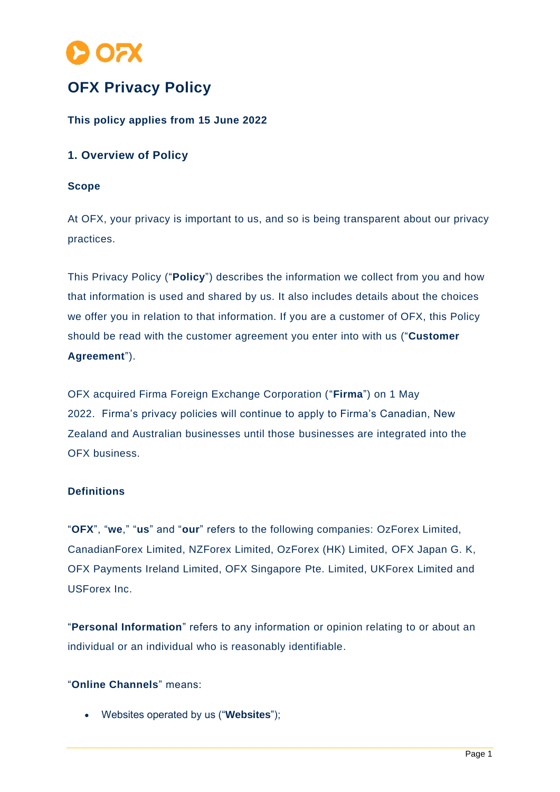

# **OFX Privacy Policy**

## **This policy applies from 15 June 2022**

## **1. Overview of Policy**

#### **Scope**

At OFX, your privacy is important to us, and so is being transparent about our privacy practices.

This Privacy Policy ("**Policy**") describes the information we collect from you and how that information is used and shared by us. It also includes details about the choices we offer you in relation to that information. If you are a customer of OFX, this Policy should be read with the customer agreement you enter into with us ("**Customer Agreement**").

OFX acquired Firma Foreign Exchange Corporation ("**Firma**") on 1 May 2022. Firma's privacy policies will continue to apply to Firma's Canadian, New Zealand and Australian businesses until those businesses are integrated into the OFX business.

## **Definitions**

"**OFX**", "**we**," "**us**" and "**our**" refers to the following companies: OzForex Limited, CanadianForex Limited, NZForex Limited, OzForex (HK) Limited, OFX Japan G. K, OFX Payments Ireland Limited, OFX Singapore Pte. Limited, UKForex Limited and USForex Inc.

"**Personal Information**" refers to any information or opinion relating to or about an individual or an individual who is reasonably identifiable.

#### "**Online Channels**" means:

• Websites operated by us ("**Websites**");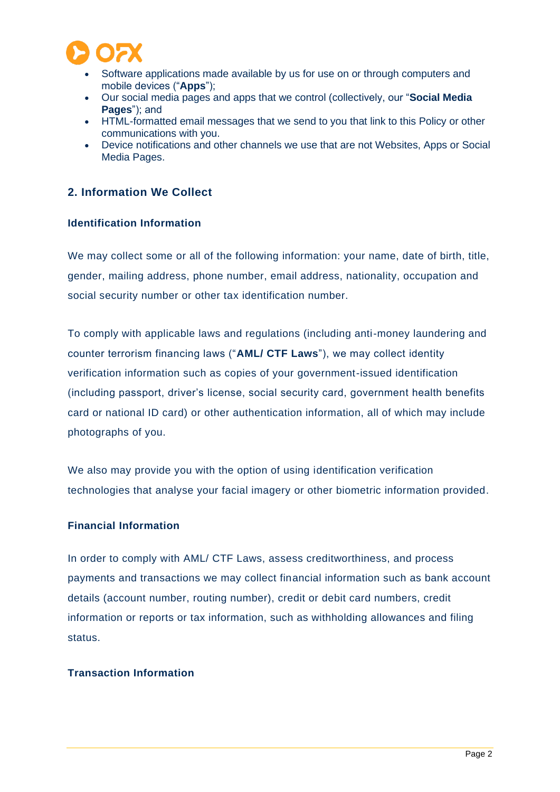

- Software applications made available by us for use on or through computers and mobile devices ("**Apps**");
- Our social media pages and apps that we control (collectively, our "**Social Media Pages**"); and
- HTML-formatted email messages that we send to you that link to this Policy or other communications with you.
- Device notifications and other channels we use that are not Websites, Apps or Social Media Pages.

## **2. Information We Collect**

## **Identification Information**

We may collect some or all of the following information: your name, date of birth, title, gender, mailing address, phone number, email address, nationality, occupation and social security number or other tax identification number.

To comply with applicable laws and regulations (including anti-money laundering and counter terrorism financing laws ("**AML/ CTF Laws**"), we may collect identity verification information such as copies of your government-issued identification (including passport, driver's license, social security card, government health benefits card or national ID card) or other authentication information, all of which may include photographs of you.

We also may provide you with the option of using identification verification technologies that analyse your facial imagery or other biometric information provided.

#### **Financial Information**

In order to comply with AML/ CTF Laws, assess creditworthiness, and process payments and transactions we may collect financial information such as bank account details (account number, routing number), credit or debit card numbers, credit information or reports or tax information, such as withholding allowances and filing status.

#### **Transaction Information**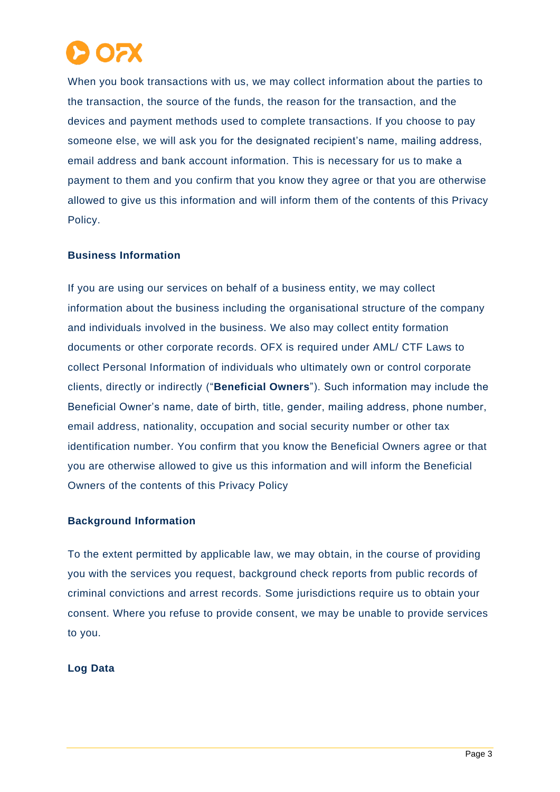

When you book transactions with us, we may collect information about the parties to the transaction, the source of the funds, the reason for the transaction, and the devices and payment methods used to complete transactions. If you choose to pay someone else, we will ask you for the designated recipient's name, mailing address, email address and bank account information. This is necessary for us to make a payment to them and you confirm that you know they agree or that you are otherwise allowed to give us this information and will inform them of the contents of this Privacy Policy.

### **Business Information**

If you are using our services on behalf of a business entity, we may collect information about the business including the organisational structure of the company and individuals involved in the business. We also may collect entity formation documents or other corporate records. OFX is required under AML/ CTF Laws to collect Personal Information of individuals who ultimately own or control corporate clients, directly or indirectly ("**Beneficial Owners**"). Such information may include the Beneficial Owner's name, date of birth, title, gender, mailing address, phone number, email address, nationality, occupation and social security number or other tax identification number. You confirm that you know the Beneficial Owners agree or that you are otherwise allowed to give us this information and will inform the Beneficial Owners of the contents of this Privacy Policy

### **Background Information**

To the extent permitted by applicable law, we may obtain, in the course of providing you with the services you request, background check reports from public records of criminal convictions and arrest records. Some jurisdictions require us to obtain your consent. Where you refuse to provide consent, we may be unable to provide services to you.

#### **Log Data**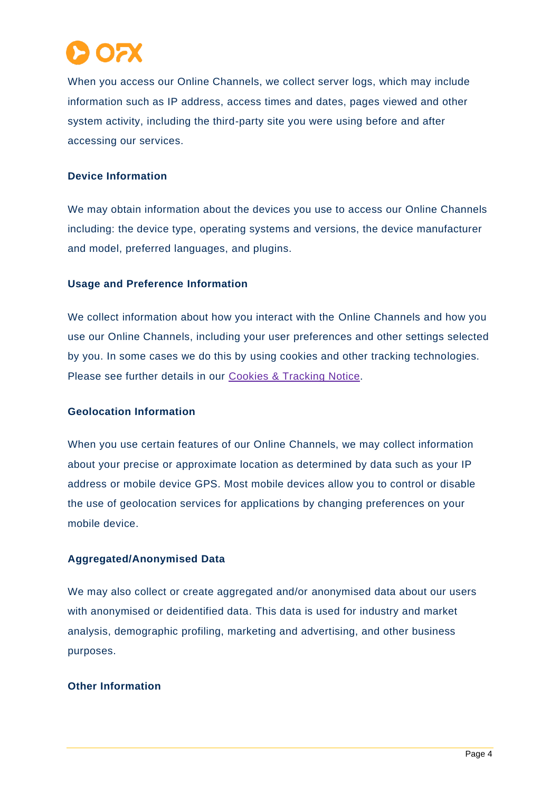

When you access our Online Channels, we collect server logs, which may include information such as IP address, access times and dates, pages viewed and other system activity, including the third-party site you were using before and after accessing our services.

#### **Device Information**

We may obtain information about the devices you use to access our Online Channels including: the device type, operating systems and versions, the device manufacturer and model, preferred languages, and plugins.

### **Usage and Preference Information**

We collect information about how you interact with the Online Channels and how you use our Online Channels, including your user preferences and other settings selected by you. In some cases we do this by using cookies and other tracking technologies. Please see further details in our [Cookies & Tracking](https://www.ofx.com/en-us/legal/cookie-policy/) Notice.

#### **Geolocation Information**

When you use certain features of our Online Channels, we may collect information about your precise or approximate location as determined by data such as your IP address or mobile device GPS. Most mobile devices allow you to control or disable the use of geolocation services for applications by changing preferences on your mobile device.

#### **Aggregated/Anonymised Data**

We may also collect or create aggregated and/or anonymised data about our users with anonymised or deidentified data. This data is used for industry and market analysis, demographic profiling, marketing and advertising, and other business purposes.

### **Other Information**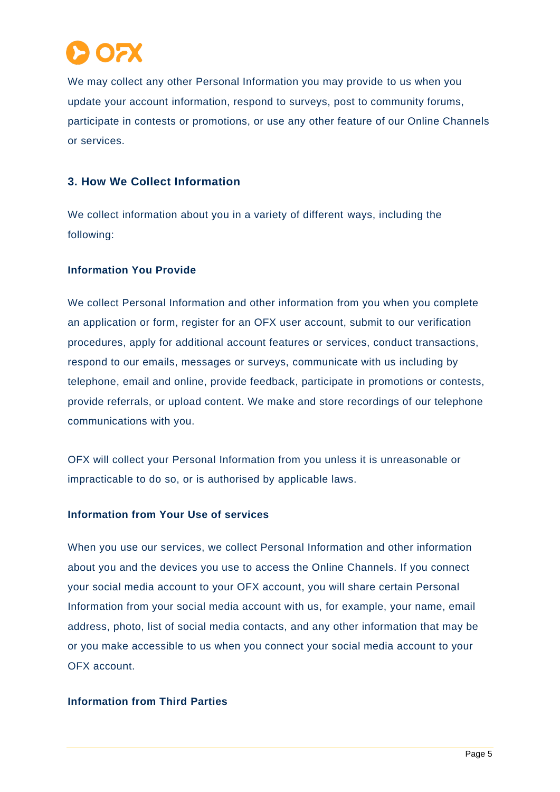

We may collect any other Personal Information you may provide to us when you update your account information, respond to surveys, post to community forums, participate in contests or promotions, or use any other feature of our Online Channels or services.

## **3. How We Collect Information**

We collect information about you in a variety of different ways, including the following:

### **Information You Provide**

We collect Personal Information and other information from you when you complete an application or form, register for an OFX user account, submit to our verification procedures, apply for additional account features or services, conduct transactions, respond to our emails, messages or surveys, communicate with us including by telephone, email and online, provide feedback, participate in promotions or contests, provide referrals, or upload content. We make and store recordings of our telephone communications with you.

OFX will collect your Personal Information from you unless it is unreasonable or impracticable to do so, or is authorised by applicable laws.

#### **Information from Your Use of services**

When you use our services, we collect Personal Information and other information about you and the devices you use to access the Online Channels. If you connect your social media account to your OFX account, you will share certain Personal Information from your social media account with us, for example, your name, email address, photo, list of social media contacts, and any other information that may be or you make accessible to us when you connect your social media account to your OFX account.

### **Information from Third Parties**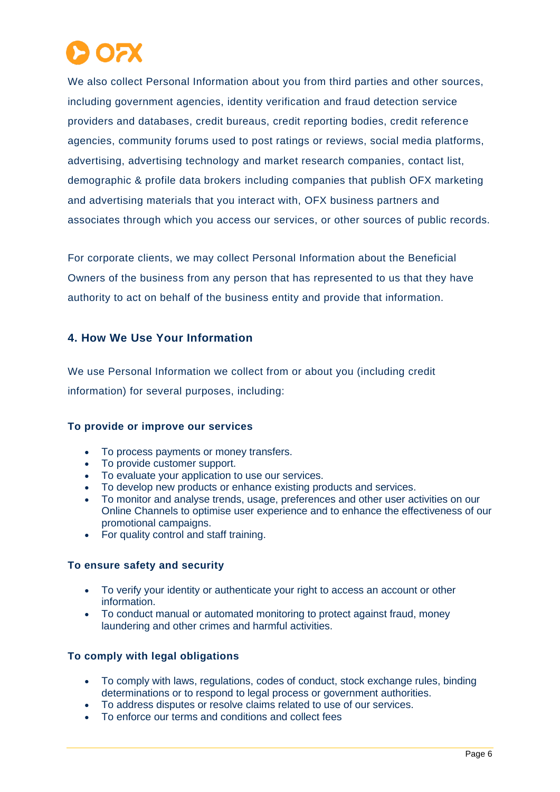

We also collect Personal Information about you from third parties and other sources, including government agencies, identity verification and fraud detection service providers and databases, credit bureaus, credit reporting bodies, credit reference agencies, community forums used to post ratings or reviews, social media platforms, advertising, advertising technology and market research companies, contact list, demographic & profile data brokers including companies that publish OFX marketing and advertising materials that you interact with, OFX business partners and associates through which you access our services, or other sources of public records.

For corporate clients, we may collect Personal Information about the Beneficial Owners of the business from any person that has represented to us that they have authority to act on behalf of the business entity and provide that information.

## **4. How We Use Your Information**

We use Personal Information we collect from or about you (including credit information) for several purposes, including:

#### **To provide or improve our services**

- To process payments or money transfers.
- To provide customer support.
- To evaluate your application to use our services.
- To develop new products or enhance existing products and services.
- To monitor and analyse trends, usage, preferences and other user activities on our Online Channels to optimise user experience and to enhance the effectiveness of our promotional campaigns.
- For quality control and staff training.

#### **To ensure safety and security**

- To verify your identity or authenticate your right to access an account or other information.
- To conduct manual or automated monitoring to protect against fraud, money laundering and other crimes and harmful activities.

#### **To comply with legal obligations**

- To comply with laws, regulations, codes of conduct, stock exchange rules, binding determinations or to respond to legal process or government authorities.
- To address disputes or resolve claims related to use of our services.
- To enforce our terms and conditions and collect fees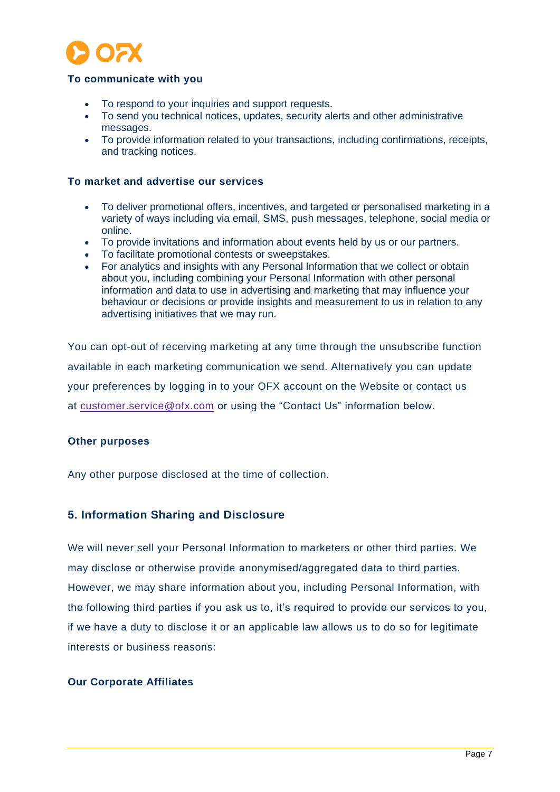

#### **To communicate with you**

- To respond to your inquiries and support requests.
- To send you technical notices, updates, security alerts and other administrative messages.
- To provide information related to your transactions, including confirmations, receipts, and tracking notices.

#### **To market and advertise our services**

- To deliver promotional offers, incentives, and targeted or personalised marketing in a variety of ways including via email, SMS, push messages, telephone, social media or online.
- To provide invitations and information about events held by us or our partners.
- To facilitate promotional contests or sweepstakes.
- For analytics and insights with any Personal Information that we collect or obtain about you, including combining your Personal Information with other personal information and data to use in advertising and marketing that may influence your behaviour or decisions or provide insights and measurement to us in relation to any advertising initiatives that we may run.

You can opt-out of receiving marketing at any time through the unsubscribe function available in each marketing communication we send. Alternatively you can update your preferences by logging in to your OFX account on the Website or contact us at [customer.service@ofx.com](mailto:customer.service@ofx.com) or using the "Contact Us" information below.

#### **Other purposes**

Any other purpose disclosed at the time of collection.

#### **5. Information Sharing and Disclosure**

We will never sell your Personal Information to marketers or other third parties. We may disclose or otherwise provide anonymised/aggregated data to third parties. However, we may share information about you, including Personal Information, with the following third parties if you ask us to, it's required to provide our services to you, if we have a duty to disclose it or an applicable law allows us to do so for legitimate interests or business reasons:

#### **Our Corporate Affiliates**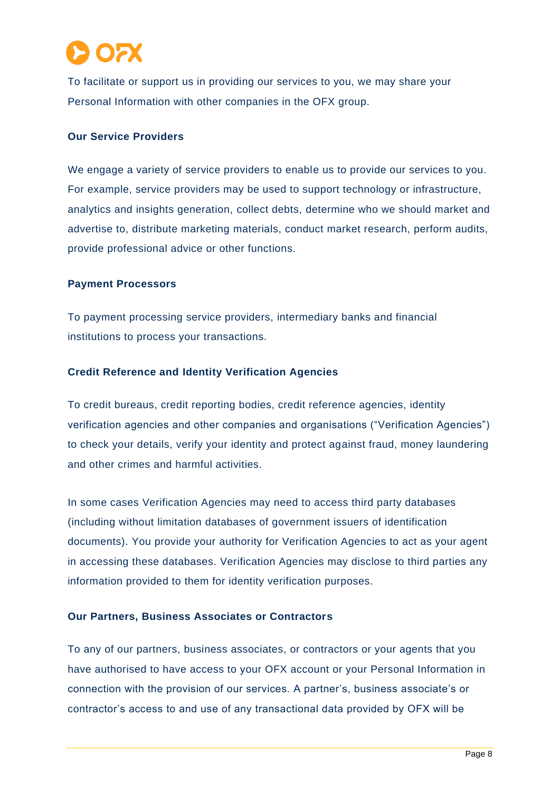

To facilitate or support us in providing our services to you, we may share your Personal Information with other companies in the OFX group.

#### **Our Service Providers**

We engage a variety of service providers to enable us to provide our services to you. For example, service providers may be used to support technology or infrastructure, analytics and insights generation, collect debts, determine who we should market and advertise to, distribute marketing materials, conduct market research, perform audits, provide professional advice or other functions.

#### **Payment Processors**

To payment processing service providers, intermediary banks and financial institutions to process your transactions.

#### **Credit Reference and Identity Verification Agencies**

To credit bureaus, credit reporting bodies, credit reference agencies, identity verification agencies and other companies and organisations ("Verification Agencies") to check your details, verify your identity and protect against fraud, money laundering and other crimes and harmful activities.

In some cases Verification Agencies may need to access third party databases (including without limitation databases of government issuers of identification documents). You provide your authority for Verification Agencies to act as your agent in accessing these databases. Verification Agencies may disclose to third parties any information provided to them for identity verification purposes.

#### **Our Partners, Business Associates or Contractors**

To any of our partners, business associates, or contractors or your agents that you have authorised to have access to your OFX account or your Personal Information in connection with the provision of our services. A partner's, business associate's or contractor's access to and use of any transactional data provided by OFX will be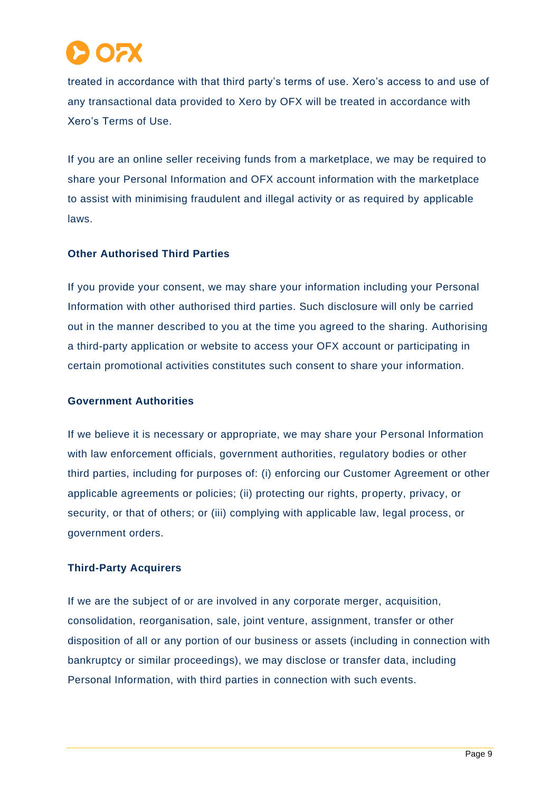

treated in accordance with that third party's terms of use. Xero's access to and use of any transactional data provided to Xero by OFX will be treated in accordance with Xero's Terms of Use.

If you are an online seller receiving funds from a marketplace, we may be required to share your Personal Information and OFX account information with the marketplace to assist with minimising fraudulent and illegal activity or as required by applicable laws.

#### **Other Authorised Third Parties**

If you provide your consent, we may share your information including your Personal Information with other authorised third parties. Such disclosure will only be carried out in the manner described to you at the time you agreed to the sharing. Authorising a third-party application or website to access your OFX account or participating in certain promotional activities constitutes such consent to share your information.

#### **Government Authorities**

If we believe it is necessary or appropriate, we may share your Personal Information with law enforcement officials, government authorities, regulatory bodies or other third parties, including for purposes of: (i) enforcing our Customer Agreement or other applicable agreements or policies; (ii) protecting our rights, property, privacy, or security, or that of others; or (iii) complying with applicable law, legal process, or government orders.

#### **Third-Party Acquirers**

If we are the subject of or are involved in any corporate merger, acquisition, consolidation, reorganisation, sale, joint venture, assignment, transfer or other disposition of all or any portion of our business or assets (including in connection with bankruptcy or similar proceedings), we may disclose or transfer data, including Personal Information, with third parties in connection with such events.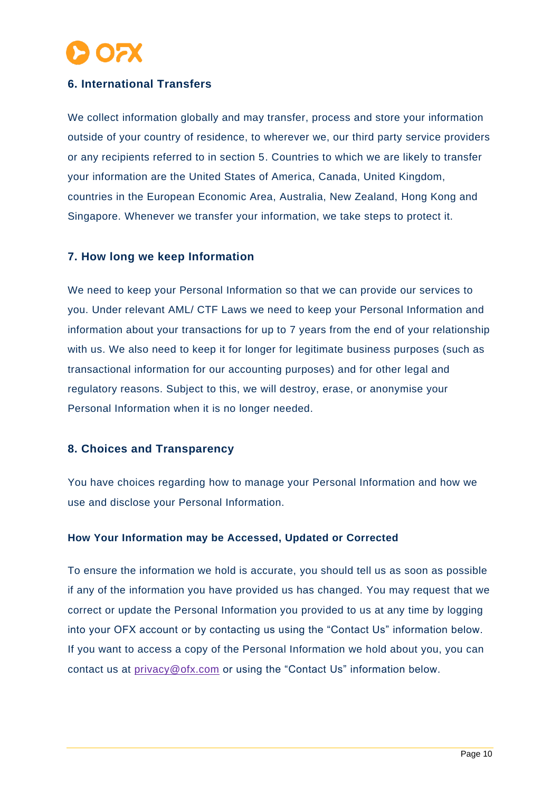

## **6. International Transfers**

We collect information globally and may transfer, process and store your information outside of your country of residence, to wherever we, our third party service providers or any recipients referred to in section 5. Countries to which we are likely to transfer your information are the United States of America, Canada, United Kingdom, countries in the European Economic Area, Australia, New Zealand, Hong Kong and Singapore. Whenever we transfer your information, we take steps to protect it.

### **7. How long we keep Information**

We need to keep your Personal Information so that we can provide our services to you. Under relevant AML/ CTF Laws we need to keep your Personal Information and information about your transactions for up to 7 years from the end of your relationship with us. We also need to keep it for longer for legitimate business purposes (such as transactional information for our accounting purposes) and for other legal and regulatory reasons. Subject to this, we will destroy, erase, or anonymise your Personal Information when it is no longer needed.

### **8. Choices and Transparency**

You have choices regarding how to manage your Personal Information and how we use and disclose your Personal Information.

#### **How Your Information may be Accessed, Updated or Corrected**

To ensure the information we hold is accurate, you should tell us as soon as possible if any of the information you have provided us has changed. You may request that we correct or update the Personal Information you provided to us at any time by logging into your OFX account or by contacting us using the "Contact Us" information below. If you want to access a copy of the Personal Information we hold about you, you can contact us at [privacy@ofx.com](mailto:%20privacy@ofx.com) or using the "Contact Us" information below.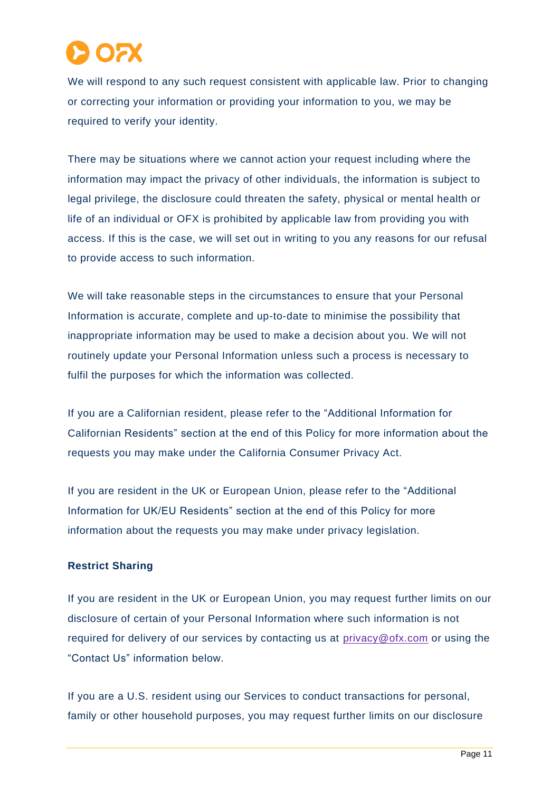

We will respond to any such request consistent with applicable law. Prior to changing or correcting your information or providing your information to you, we may be required to verify your identity.

There may be situations where we cannot action your request including where the information may impact the privacy of other individuals, the information is subject to legal privilege, the disclosure could threaten the safety, physical or mental health or life of an individual or OFX is prohibited by applicable law from providing you with access. If this is the case, we will set out in writing to you any reasons for our refusal to provide access to such information.

We will take reasonable steps in the circumstances to ensure that your Personal Information is accurate, complete and up-to-date to minimise the possibility that inappropriate information may be used to make a decision about you. We will not routinely update your Personal Information unless such a process is necessary to fulfil the purposes for which the information was collected.

If you are a Californian resident, please refer to the "Additional Information for Californian Residents" section at the end of this Policy for more information about the requests you may make under the California Consumer Privacy Act.

If you are resident in the UK or European Union, please refer to the "Additional Information for UK/EU Residents" section at the end of this Policy for more information about the requests you may make under privacy legislation.

#### **Restrict Sharing**

If you are resident in the UK or European Union, you may request further limits on our disclosure of certain of your Personal Information where such information is not required for delivery of our services by contacting us at [privacy@ofx.com](mailto:%20privacy@ofx.com) or using the "Contact Us" information below.

If you are a U.S. resident using our Services to conduct transactions for personal, family or other household purposes, you may request further limits on our disclosure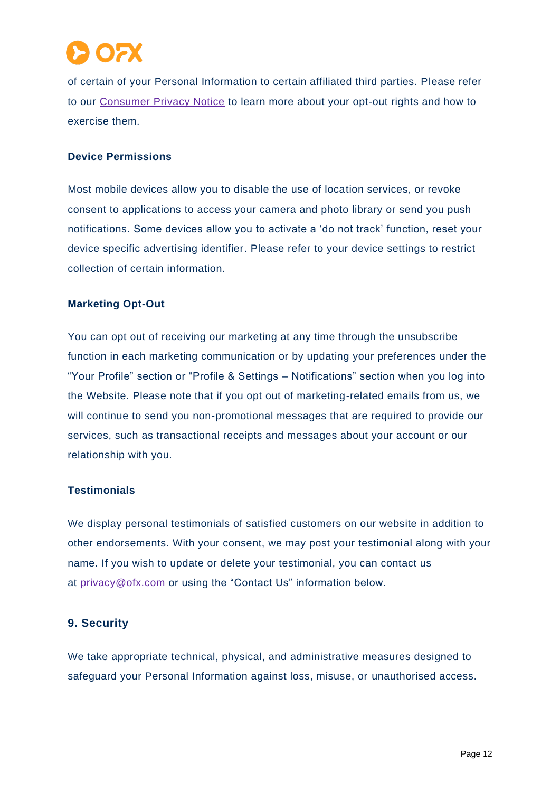

of certain of your Personal Information to certain affiliated third parties. Please refer to our [Consumer Privacy Notice](https://www.ofx.com/en-us/legal/consumer-privacy-notice/) to learn more about your opt-out rights and how to exercise them.

#### **Device Permissions**

Most mobile devices allow you to disable the use of location services, or revoke consent to applications to access your camera and photo library or send you push notifications. Some devices allow you to activate a 'do not track' function, reset your device specific advertising identifier. Please refer to your device settings to restrict collection of certain information.

#### **Marketing Opt-Out**

You can opt out of receiving our marketing at any time through the unsubscribe function in each marketing communication or by updating your preferences under the "Your Profile" section or "Profile & Settings – Notifications" section when you log into the Website. Please note that if you opt out of marketing-related emails from us, we will continue to send you non-promotional messages that are required to provide our services, such as transactional receipts and messages about your account or our relationship with you.

#### **Testimonials**

We display personal testimonials of satisfied customers on our website in addition to other endorsements. With your consent, we may post your testimonial along with your name. If you wish to update or delete your testimonial, you can contact us at [privacy@ofx.com](mailto:privacy@ofx.com) or using the "Contact Us" information below.

#### **9. Security**

We take appropriate technical, physical, and administrative measures designed to safeguard your Personal Information against loss, misuse, or unauthorised access.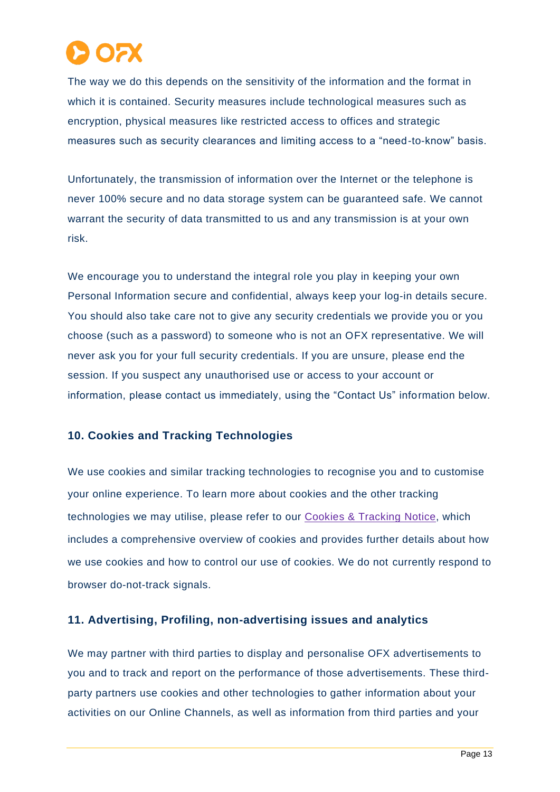The way we do this depends on the sensitivity of the information and the format in which it is contained. Security measures include technological measures such as encryption, physical measures like restricted access to offices and strategic measures such as security clearances and limiting access to a "need-to-know" basis.

Unfortunately, the transmission of information over the Internet or the telephone is never 100% secure and no data storage system can be guaranteed safe. We cannot warrant the security of data transmitted to us and any transmission is at your own risk.

We encourage you to understand the integral role you play in keeping your own Personal Information secure and confidential, always keep your log-in details secure. You should also take care not to give any security credentials we provide you or you choose (such as a password) to someone who is not an OFX representative. We will never ask you for your full security credentials. If you are unsure, please end the session. If you suspect any unauthorised use or access to your account or information, please contact us immediately, using the "Contact Us" information below.

## **10. Cookies and Tracking Technologies**

We use cookies and similar tracking technologies to recognise you and to customise your online experience. To learn more about cookies and the other tracking technologies we may utilise, please refer to our [Cookies & Tracking](https://www.ofx.com/en-us/legal/cookie-policy/) Notice, which includes a comprehensive overview of cookies and provides further details about how we use cookies and how to control our use of cookies. We do not currently respond to browser do-not-track signals.

## **11. Advertising, Profiling, non-advertising issues and analytics**

We may partner with third parties to display and personalise OFX advertisements to you and to track and report on the performance of those advertisements. These thirdparty partners use cookies and other technologies to gather information about your activities on our Online Channels, as well as information from third parties and your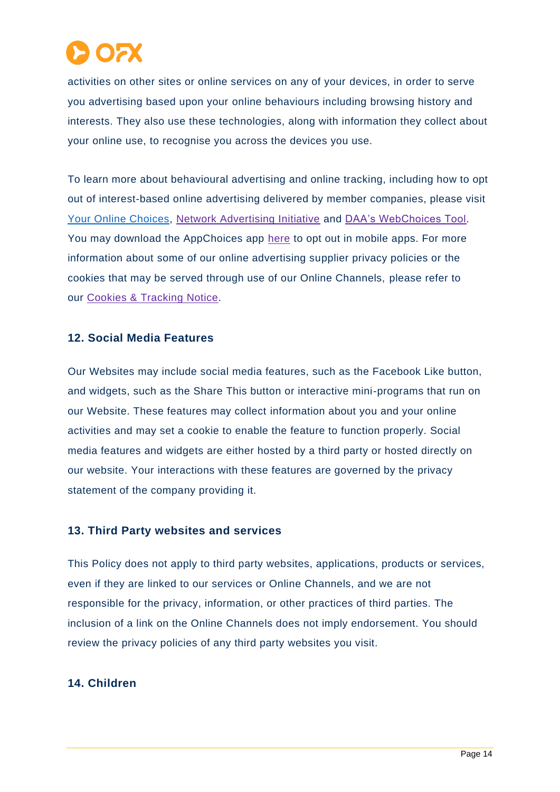

activities on other sites or online services on any of your devices, in order to serve you advertising based upon your online behaviours including browsing history and interests. They also use these technologies, along with information they collect about your online use, to recognise you across the devices you use.

To learn more about behavioural advertising and online tracking, including how to opt out of interest-based online advertising delivered by member companies, please visit [Your Online Choices,](https://youronlinechoices.com.au/) [Network Advertising Initiative](https://optout.networkadvertising.org/?c=1) and [DAA's WebChoices Tool.](https://optout.aboutads.info/?c=2&lang=EN) You may download the AppChoices app [here](https://youradchoices.com/appchoices) to opt out in mobile apps. For more information about some of our online advertising supplier privacy policies or the cookies that may be served through use of our Online Channels, please refer to our [Cookies & Tracking](https://www.ofx.com/en-us/legal/cookie-policy/) Notice.

## **12. Social Media Features**

Our Websites may include social media features, such as the Facebook Like button, and widgets, such as the Share This button or interactive mini-programs that run on our Website. These features may collect information about you and your online activities and may set a cookie to enable the feature to function properly. Social media features and widgets are either hosted by a third party or hosted directly on our website. Your interactions with these features are governed by the privacy statement of the company providing it.

## **13. Third Party websites and services**

This Policy does not apply to third party websites, applications, products or services, even if they are linked to our services or Online Channels, and we are not responsible for the privacy, information, or other practices of third parties. The inclusion of a link on the Online Channels does not imply endorsement. You should review the privacy policies of any third party websites you visit.

#### **14. Children**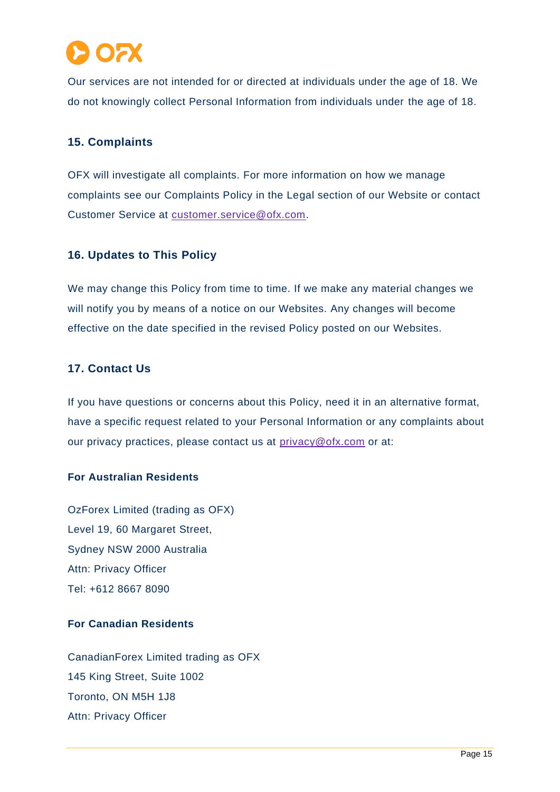

Our services are not intended for or directed at individuals under the age of 18. We do not knowingly collect Personal Information from individuals under the age of 18.

## **15. Complaints**

OFX will investigate all complaints. For more information on how we manage complaints see our Complaints Policy in the Legal section of our Website or contact Customer Service at [customer.service@ofx.com.](mailto:customer.service@ofx.com)

## **16. Updates to This Policy**

We may change this Policy from time to time. If we make any material changes we will notify you by means of a notice on our Websites. Any changes will become effective on the date specified in the revised Policy posted on our Websites.

## **17. Contact Us**

If you have questions or concerns about this Policy, need it in an alternative format, have a specific request related to your Personal Information or any complaints about our privacy practices, please contact us at [privacy@ofx.com](mailto:privacy@ofx.com) or at:

## **For Australian Residents**

OzForex Limited (trading as OFX) Level 19, 60 Margaret Street, Sydney NSW 2000 Australia Attn: Privacy Officer Tel: +612 8667 8090

## **For Canadian Residents**

CanadianForex Limited trading as OFX 145 King Street, Suite 1002 Toronto, ON M5H 1J8 Attn: Privacy Officer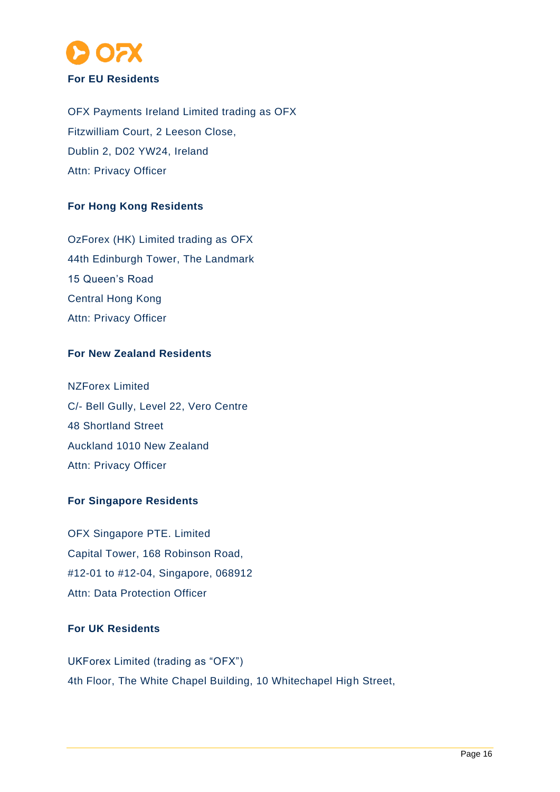

OFX Payments Ireland Limited trading as OFX Fitzwilliam Court, 2 Leeson Close, Dublin 2, D02 YW24, Ireland Attn: Privacy Officer

## **For Hong Kong Residents**

OzForex (HK) Limited trading as OFX 44th Edinburgh Tower, The Landmark 15 Queen's Road Central Hong Kong Attn: Privacy Officer

## **For New Zealand Residents**

NZForex Limited C/- Bell Gully, Level 22, Vero Centre 48 Shortland Street Auckland 1010 New Zealand Attn: Privacy Officer

## **For Singapore Residents**

OFX Singapore PTE. Limited Capital Tower, 168 Robinson Road, #12-01 to #12-04, Singapore, 068912 Attn: Data Protection Officer

## **For UK Residents**

UKForex Limited (trading as "OFX") 4th Floor, The White Chapel Building, 10 Whitechapel High Street,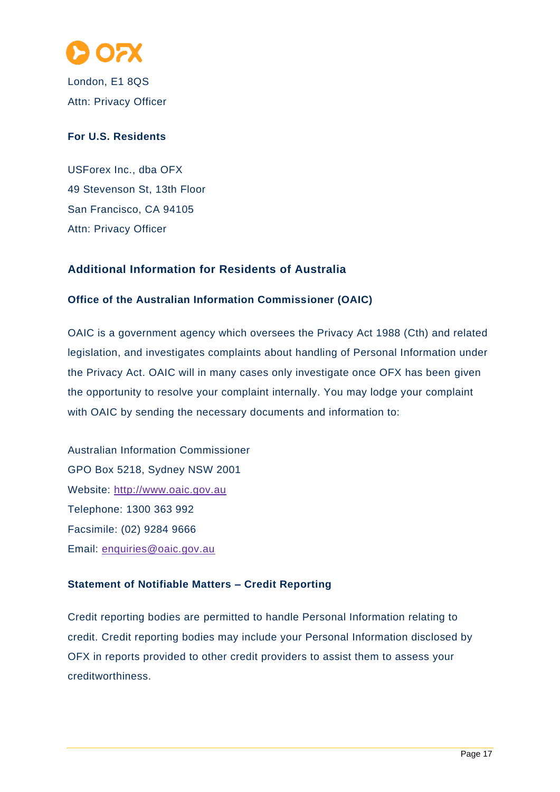

London, E1 8QS Attn: Privacy Officer

## **For U.S. Residents**

USForex Inc., dba OFX 49 Stevenson St, 13th Floor San Francisco, CA 94105 Attn: Privacy Officer

## **Additional Information for Residents of Australia**

## **Office of the Australian Information Commissioner (OAIC)**

OAIC is a government agency which oversees the Privacy Act 1988 (Cth) and related legislation, and investigates complaints about handling of Personal Information under the Privacy Act. OAIC will in many cases only investigate once OFX has been given the opportunity to resolve your complaint internally. You may lodge your complaint with OAIC by sending the necessary documents and information to:

Australian Information Commissioner GPO Box 5218, Sydney NSW 2001 Website: [http://www.oaic.gov.au](http://www.oaic.gov.au/) Telephone: 1300 363 992 Facsimile: (02) 9284 9666 Email: [enquiries@oaic.gov.au](mailto:enquiries@oaic.gov.au)

## **Statement of Notifiable Matters – Credit Reporting**

Credit reporting bodies are permitted to handle Personal Information relating to credit. Credit reporting bodies may include your Personal Information disclosed by OFX in reports provided to other credit providers to assist them to assess your creditworthiness.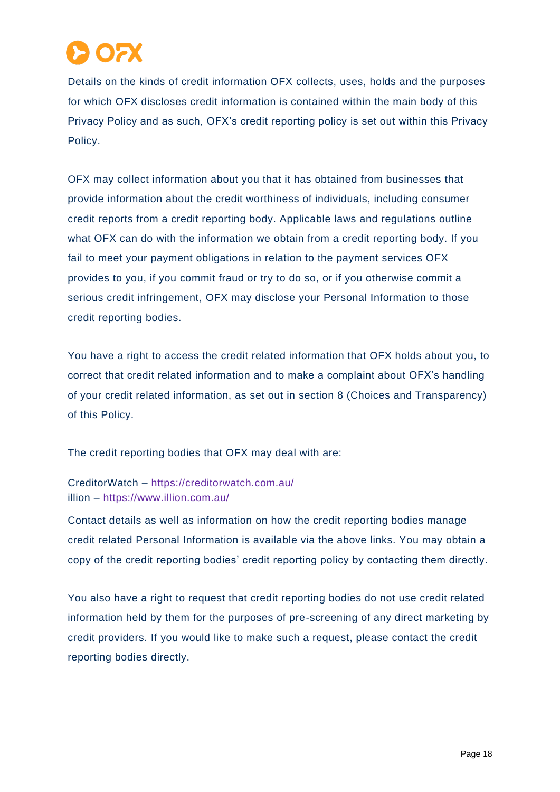

Details on the kinds of credit information OFX collects, uses, holds and the purposes for which OFX discloses credit information is contained within the main body of this Privacy Policy and as such, OFX's credit reporting policy is set out within this Privacy Policy.

OFX may collect information about you that it has obtained from businesses that provide information about the credit worthiness of individuals, including consumer credit reports from a credit reporting body. Applicable laws and regulations outline what OFX can do with the information we obtain from a credit reporting body. If you fail to meet your payment obligations in relation to the payment services OFX provides to you, if you commit fraud or try to do so, or if you otherwise commit a serious credit infringement, OFX may disclose your Personal Information to those credit reporting bodies.

You have a right to access the credit related information that OFX holds about you, to correct that credit related information and to make a complaint about OFX's handling of your credit related information, as set out in section 8 (Choices and Transparency) of this Policy.

The credit reporting bodies that OFX may deal with are:

## CreditorWatch – <https://creditorwatch.com.au/> illion – <https://www.illion.com.au/>

Contact details as well as information on how the credit reporting bodies manage credit related Personal Information is available via the above links. You may obtain a copy of the credit reporting bodies' credit reporting policy by contacting them directly.

You also have a right to request that credit reporting bodies do not use credit related information held by them for the purposes of pre-screening of any direct marketing by credit providers. If you would like to make such a request, please contact the credit reporting bodies directly.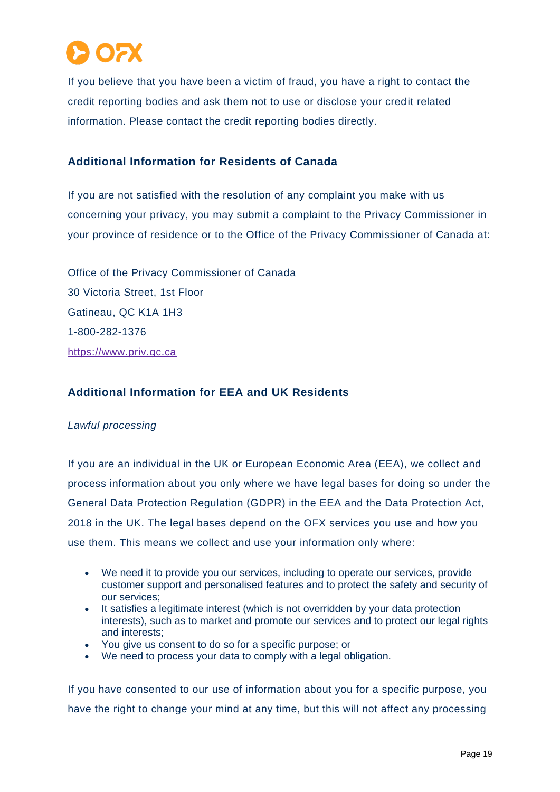

If you believe that you have been a victim of fraud, you have a right to contact the credit reporting bodies and ask them not to use or disclose your credit related information. Please contact the credit reporting bodies directly.

## **Additional Information for Residents of Canada**

If you are not satisfied with the resolution of any complaint you make with us concerning your privacy, you may submit a complaint to the Privacy Commissioner in your province of residence or to the Office of the Privacy Commissioner of Canada at:

Office of the Privacy Commissioner of Canada 30 Victoria Street, 1st Floor Gatineau, QC K1A 1H3 1-800-282-1376 [https://www.priv.gc.ca](https://www.priv.gc.ca/)

## **Additional Information for EEA and UK Residents**

#### *Lawful processing*

If you are an individual in the UK or European Economic Area (EEA), we collect and process information about you only where we have legal bases for doing so under the General Data Protection Regulation (GDPR) in the EEA and the Data Protection Act, 2018 in the UK. The legal bases depend on the OFX services you use and how you use them. This means we collect and use your information only where:

- We need it to provide you our services, including to operate our services, provide customer support and personalised features and to protect the safety and security of our services;
- It satisfies a legitimate interest (which is not overridden by your data protection interests), such as to market and promote our services and to protect our legal rights and interests;
- You give us consent to do so for a specific purpose; or
- We need to process your data to comply with a legal obligation.

If you have consented to our use of information about you for a specific purpose, you have the right to change your mind at any time, but this will not affect any processing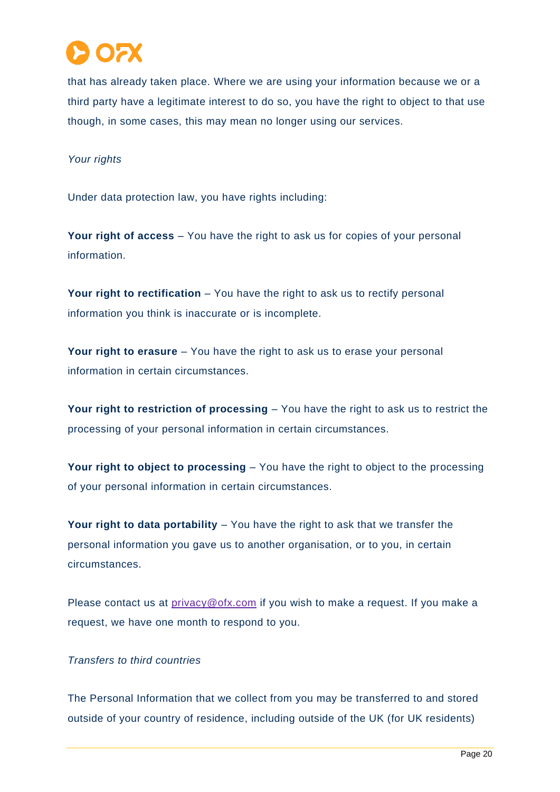

that has already taken place. Where we are using your information because we or a third party have a legitimate interest to do so, you have the right to object to that use though, in some cases, this may mean no longer using our services.

#### *Your rights*

Under data protection law, you have rights including:

**Your right of access** – You have the right to ask us for copies of your personal information.

**Your right to rectification** – You have the right to ask us to rectify personal information you think is inaccurate or is incomplete.

**Your right to erasure** – You have the right to ask us to erase your personal information in certain circumstances.

**Your right to restriction of processing** – You have the right to ask us to restrict the processing of your personal information in certain circumstances.

**Your right to object to processing** – You have the right to object to the processing of your personal information in certain circumstances.

**Your right to data portability** – You have the right to ask that we transfer the personal information you gave us to another organisation, or to you, in certain circumstances.

Please contact us at [privacy@ofx.com](mailto:privacy@ofx.com) if you wish to make a request. If you make a request, we have one month to respond to you.

## *Transfers to third countries*

The Personal Information that we collect from you may be transferred to and stored outside of your country of residence, including outside of the UK (for UK residents)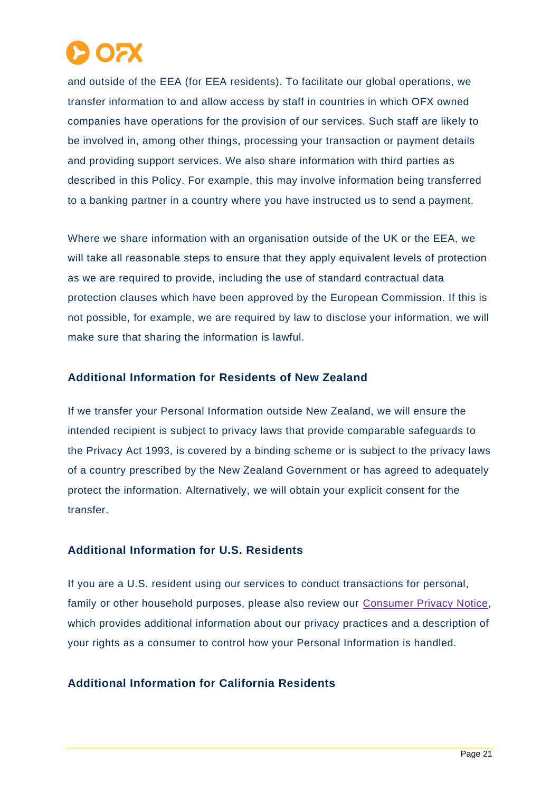

and outside of the EEA (for EEA residents). To facilitate our global operations, we transfer information to and allow access by staff in countries in which OFX owned companies have operations for the provision of our services. Such staff are likely to be involved in, among other things, processing your transaction or payment details and providing support services. We also share information with third parties as described in this Policy. For example, this may involve information being transferred to a banking partner in a country where you have instructed us to send a payment.

Where we share information with an organisation outside of the UK or the EEA, we will take all reasonable steps to ensure that they apply equivalent levels of protection as we are required to provide, including the use of standard contractual data protection clauses which have been approved by the European Commission. If this is not possible, for example, we are required by law to disclose your information, we will make sure that sharing the information is lawful.

### **Additional Information for Residents of New Zealand**

If we transfer your Personal Information outside New Zealand, we will ensure the intended recipient is subject to privacy laws that provide comparable safeguards to the Privacy Act 1993, is covered by a binding scheme or is subject to the privacy laws of a country prescribed by the New Zealand Government or has agreed to adequately protect the information. Alternatively, we will obtain your explicit consent for the transfer.

## **Additional Information for U.S. Residents**

If you are a U.S. resident using our services to conduct transactions for personal, family or other household purposes, please also review our [Consumer Privacy Notice,](https://www.ofx.com/en-us/legal/consumer-privacy-notice/) which provides additional information about our privacy practices and a description of your rights as a consumer to control how your Personal Information is handled.

#### **Additional Information for California Residents**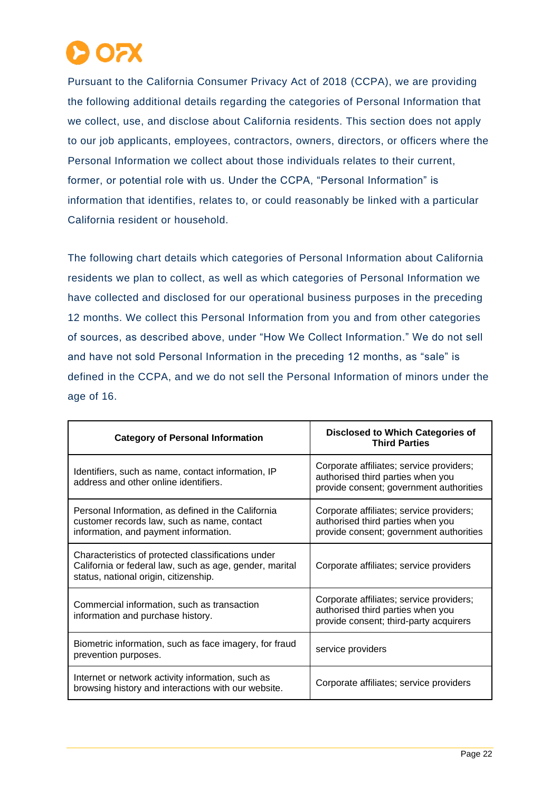

Pursuant to the California Consumer Privacy Act of 2018 (CCPA), we are providing the following additional details regarding the categories of Personal Information that we collect, use, and disclose about California residents. This section does not apply to our job applicants, employees, contractors, owners, directors, or officers where the Personal Information we collect about those individuals relates to their current, former, or potential role with us. Under the CCPA, "Personal Information" is information that identifies, relates to, or could reasonably be linked with a particular California resident or household.

The following chart details which categories of Personal Information about California residents we plan to collect, as well as which categories of Personal Information we have collected and disclosed for our operational business purposes in the preceding 12 months. We collect this Personal Information from you and from other categories of sources, as described above, under "How We Collect Information." We do not sell and have not sold Personal Information in the preceding 12 months, as "sale" is defined in the CCPA, and we do not sell the Personal Information of minors under the age of 16.

| <b>Category of Personal Information</b>                                                                                                                | <b>Disclosed to Which Categories of</b><br><b>Third Parties</b>                                                          |
|--------------------------------------------------------------------------------------------------------------------------------------------------------|--------------------------------------------------------------------------------------------------------------------------|
| Identifiers, such as name, contact information, IP<br>address and other online identifiers.                                                            | Corporate affiliates; service providers;<br>authorised third parties when you<br>provide consent; government authorities |
| Personal Information, as defined in the California<br>customer records law, such as name, contact<br>information, and payment information.             | Corporate affiliates; service providers;<br>authorised third parties when you<br>provide consent; government authorities |
| Characteristics of protected classifications under<br>California or federal law, such as age, gender, marital<br>status, national origin, citizenship. | Corporate affiliates; service providers                                                                                  |
| Commercial information, such as transaction<br>information and purchase history.                                                                       | Corporate affiliates; service providers;<br>authorised third parties when you<br>provide consent; third-party acquirers  |
| Biometric information, such as face imagery, for fraud<br>prevention purposes.                                                                         | service providers                                                                                                        |
| Internet or network activity information, such as<br>browsing history and interactions with our website.                                               | Corporate affiliates; service providers                                                                                  |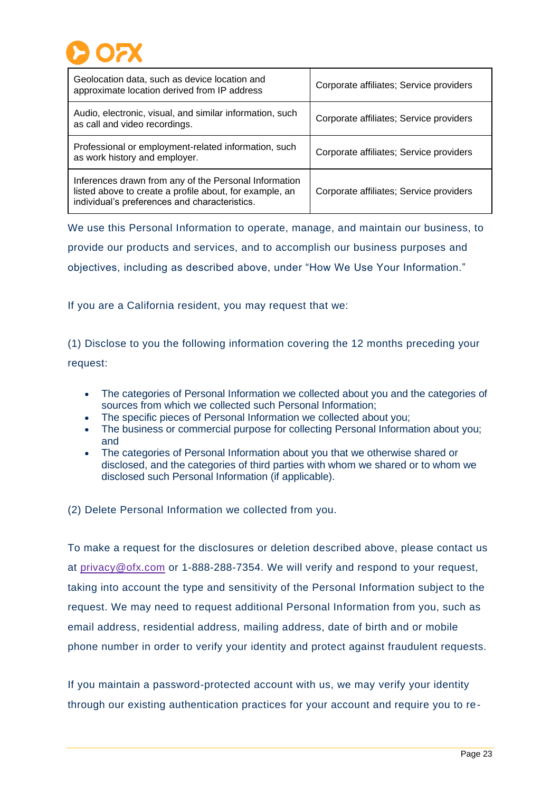

| Geolocation data, such as device location and<br>approximate location derived from IP address                                                                     | Corporate affiliates; Service providers |
|-------------------------------------------------------------------------------------------------------------------------------------------------------------------|-----------------------------------------|
| Audio, electronic, visual, and similar information, such<br>as call and video recordings.                                                                         | Corporate affiliates; Service providers |
| Professional or employment-related information, such<br>as work history and employer.                                                                             | Corporate affiliates; Service providers |
| Inferences drawn from any of the Personal Information<br>listed above to create a profile about, for example, an<br>individual's preferences and characteristics. | Corporate affiliates; Service providers |

We use this Personal Information to operate, manage, and maintain our business, to provide our products and services, and to accomplish our business purposes and objectives, including as described above, under "How We Use Your Information."

If you are a California resident, you may request that we:

(1) Disclose to you the following information covering the 12 months preceding your request:

- The categories of Personal Information we collected about you and the categories of sources from which we collected such Personal Information;
- The specific pieces of Personal Information we collected about you;
- The business or commercial purpose for collecting Personal Information about you; and
- The categories of Personal Information about you that we otherwise shared or disclosed, and the categories of third parties with whom we shared or to whom we disclosed such Personal Information (if applicable).

(2) Delete Personal Information we collected from you.

To make a request for the disclosures or deletion described above, please contact us at [privacy@ofx.com](mailto:privacy@ofx.com) or 1-888-288-7354. We will verify and respond to your request, taking into account the type and sensitivity of the Personal Information subject to the request. We may need to request additional Personal Information from you, such as email address, residential address, mailing address, date of birth and or mobile phone number in order to verify your identity and protect against fraudulent requests.

If you maintain a password-protected account with us, we may verify your identity through our existing authentication practices for your account and require you to re-